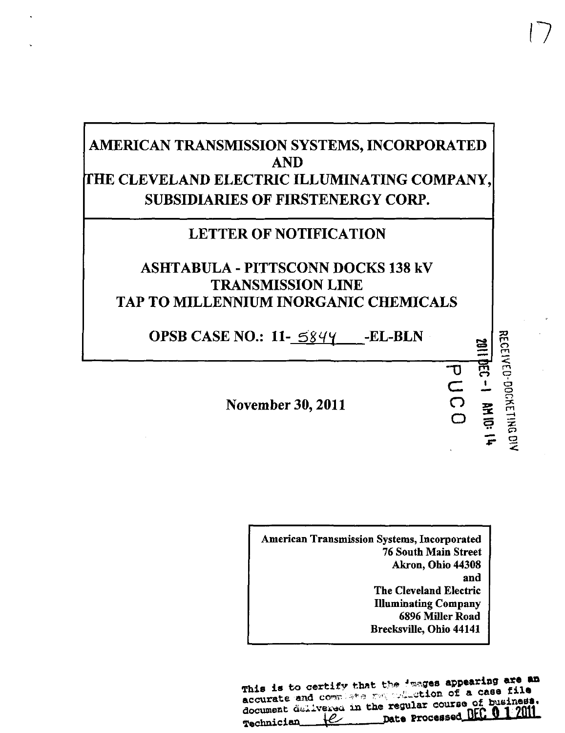## AMERICAN TRANSMISSION SYSTEMS, INCORPORATED AND THE CLEVELAND ELECTRIC ILLUMINATING COMPANY, SUBSIDIARIES OF FIRSTENERGY CORP.

## LETTER OF NOTIFICATION

## ASHTABULA - PITTSCONN DOCKS 138 kV TRANSMISSION LINE TAP TO MILLENNIUM INORGANIC CHEMICALS

OPSB CASE NO.: 11-5844 -- EL-BLN

November 30,2011

American Transmission Systems, Incorporated 76 South Main Street Akron, Ohio 44308 and The Cleveland Electric Illuminating Company 6896 Miller Road Brecksville, Ohio 44141

(7

පූ 즢  $\leq$ 

E  $\Xi$ .—» m  $\tilde{\varpi}$ E

 $\Xi$ 

33»

 $\sigma$ C  $\overline{\overline{O}}$ o

This is to certify that the images appearing are an This is to certify that the results appearing file<br>accurate and complete requisition of a case file T»olmlcl«iL\_4^i\_\_—P» " rrOM.»»d-nti. ^1 I tun .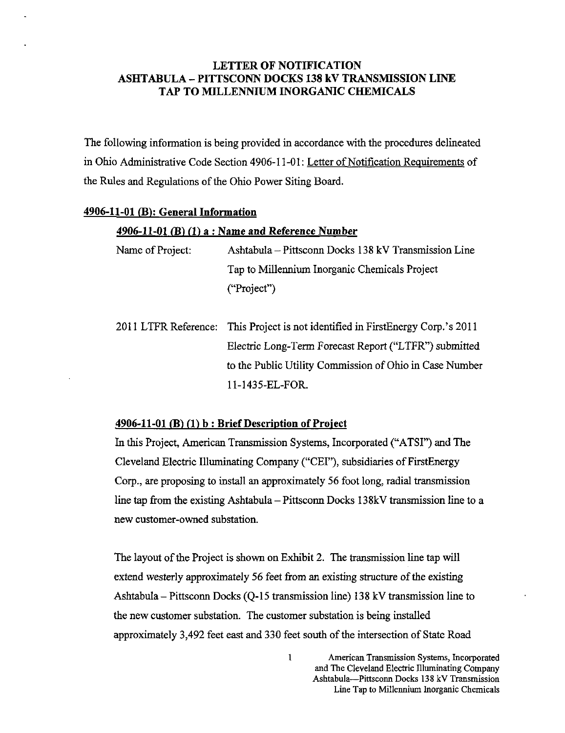#### LETTER OF NOTIFICATION ASHTABULA - PITTSCONN DOCKS 138 kV TRANSMISSION LINE TAP TO MILLENNIUM INORGANIC CHEMICALS

The following information is being provided in accordance with the procedures delineated in Ohio Administrative Code Section 4906-11-01: Letter of Notification Requirements of the Rules and Regulations of the Ohio Power Siting Board.

#### 4906-11-01 (B): General Information

#### $4906-11-01$  (B) (1) a : Name and Reference Number

Name of Project: Ashtabula - Pittsconn Docks 138 kV Transmission Line Tap to Millennium Inorganic Chemicals Project ("Project")

2011 LTFR Reference: This Project is not identified in FirstEnergy Corp.'s 2011 Electric Long-Term Forecast Report ("LTFR") submitted to the Public Utility Commission of Ohio in Case Number 11-1435-EL-FOR.

#### $4906-11-01$  (B) (1) b : Brief Description of Project

In this Project, American Transmission Systems, Incorporated ("ATSI") and The Cleveland Electric Illuminating Company ("CEI"), subsidiaries of FirstEnergy Corp., are proposing to install an approximately 56 foot long, radial fransmission line tap from the existing Ashtabula - Pittsconn Docks 138kV transmission line to a new customer-owned substation.

The layout of the Project is shown on Exhibit 2. The fransmission line tap will extend westerly approximately 56 feet from an existing structure of the existing Ashtabula - Pittsconn Docks (Q-15 fransmission line) 138 kV transmission line to the new customer substation. The customer substation is being installed approximately 3,492 feet east and 330 feet south of the intersection of State Road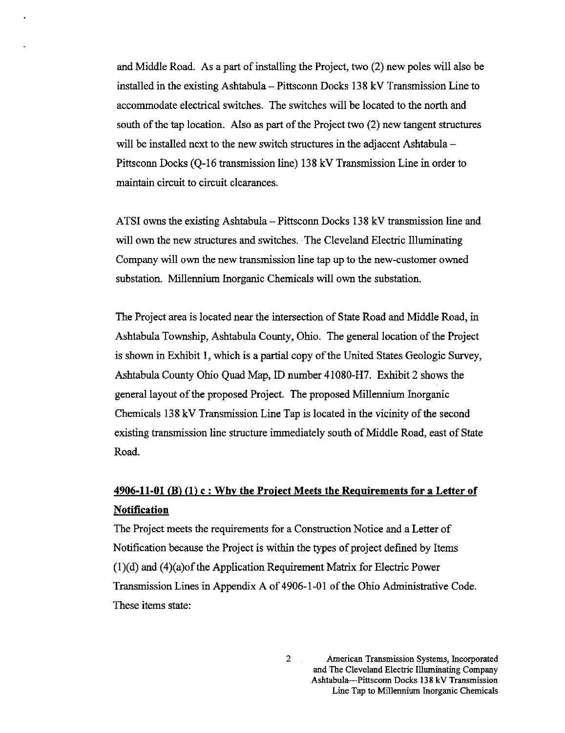and Middle Road. As a part of installing the Project, two (2) new poles will also be installed in the existing Ashtabula - Pittsconn Docks 138 kV Transmission Line to accommodate elecfrical switches. The switches will be located to the north and south of the tap location. Also as part of the Project two (2) new tangent structures will be installed next to the new switch structures in the adjacent Ashtabula – Pittsconn Docks (Q-16 transmission line) 138 kV Transmission Line in order to maintain circuit to circuit clearances.

ATSI owns the existing Ashtabula – Pittsconn Docks 138 kV transmission line and will own the new structures and switches. The Cleveland Electric Illuminating Company will own the new fransmission line tap up to the new-customer owned substation. Millennium Inorganic Chemicals will own the substation.

The Project area is located near the intersection of State Road and Middle Road, in Ashtabula Township, Ashtabula County, Ohio. The general location of the Project is shown in Exhibit 1, which is a partial copy of the United States Geologic Survey, Ashtabula County Ohio Quad Map, ID number 41080-H7. Exhibit 2 shows the general layout of the proposed Project. The proposed Millennium Inorganic Chemicals 138 kV Transmission Line Tap is located in the vicinity of the second existing transmission line structure immediately south of Middle Road, east of State Road.

### $4906-11-01$  (B) (1) c : Why the Project Meets the Requirements for a Letter of **Notification**

The Project meets the requirements for a Construction Notice and a Letter of Notification because the Project is within the types of project defined by Items  $(1)(d)$  and  $(4)(a)$  of the Application Requirement Matrix for Electric Power Transmission Lines in Appendix A of 4906-1-01 of the Ohio Admrnisfrative Code. These items state:

 $\overline{2}$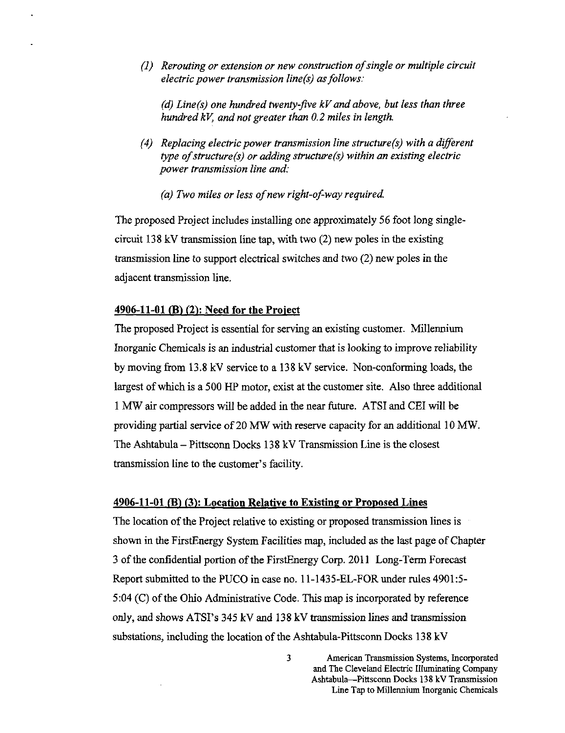(1) Rerouting or extension or new construction of single or multiple circuit electric power transmission line(s) as follows:

(d) Line(s) one hundred twenty-five  $kV$  and above, but less than three hundred kV, and not greater than 0.2 miles in length.

- (4) Replacing electric power transmission line structure(s) with a different type of structure(s) or adding structure(s) within an existing electric power transmission line and:
	- (a) Two miles or less of new right-of-way required.

The proposed Project includes installing one approximately 56 foot long singlecircuit 138 kV fransmission line tap, with two (2) new poles in the existing fransmission line to support electrical switches and two (2) new poles in the adjacent transmission line.

#### $4906-11-01$  (B) (2): Need for the Project

The proposed Project is essential for serving an existing customer. Millennium Inorganic Chemicals is an industrial customer that is looking to improve reliability by moving from 13.8 kV service to a 138 kV service. Non-conforming loads, the largest of which is a 500 HP motor, exist at the customer site. Also three additional 1 MW air compressors will be added in the near future. ATSI and CEI will be providing partial service of 20 MW with reserve capacity for an additional 10 MW. The Ashtabula  $-$  Pittsconn Docks 138 kV Transmission Line is the closest fransmission line to the customer's facility.

#### 4906-11-01 (B) (3): Location Relative to Existing or Proposed Lines

The location of the Project relative to existing or proposed fransmission lines is shown in the FirstEnergy System Facilities map, included as the last page of Chapter 3 of the confidential portion of the FirstEnergy Corp. 2011 Long-Term Forecast Report submitted to the PUCO in case no. 11-1435-EL-FOR under rules 4901:5- 5:04 (C) of the Ohio Administtative Code. This map is incorporated by reference only, and shows ATSI's 345 kV and 138 kV fransmission lines and fransmission substations, including the location of the Ashtabula-Pittsconn Docks 138 kV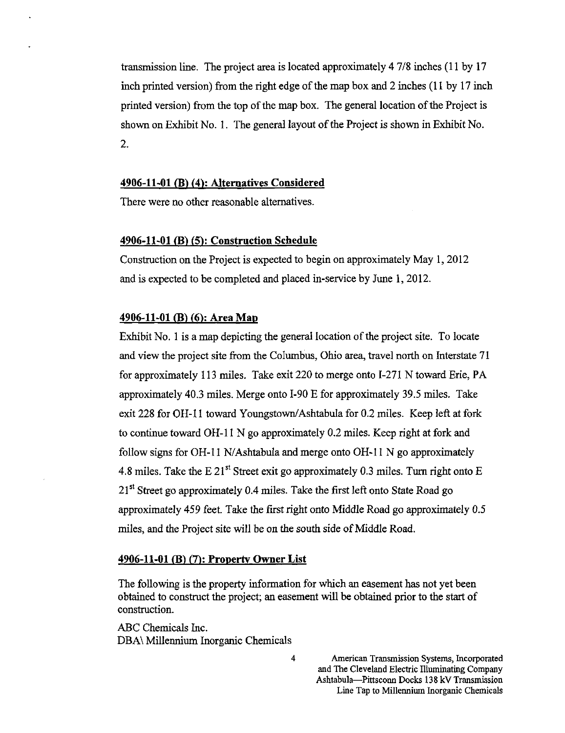transmission line. The project area is located approximately 4 7/8 inches (11 by 17 inch printed version) from the right edge of the map box and 2 inches (11 by 17 inch printed version) from the top of the map box. The general location of the Project is shown on Exhibit No. 1. The general layout of the Project is shown in Exhibit No. 2.

#### 4906-11-01 (B) (4): Alternatives Considered

There were no other reasonable alternatives.

#### 4906-11-01 (B) (5): Construction Schedule

Construction on the Project is expected to begin on approximately May 1, 2012 and is expected to be completed and placed in-service by June 1, 2012.

#### 4906-11-01 (B) (6): Area Map

Exhibit No. 1 is a map depicting the general location of the project site. To locate and view the project site from the Columbus, Ohio area, travel north on Interstate 71 for approximately 113 miles. Take exit 220 to merge onto 1-271 N toward Erie, PA approximately 40.3 miles. Merge onto 1-90 E for approximately 39.5 miles. Take exit 228 for OH-11 toward Youngstown/Ashtabula for 0.2 miles. Keep left at fork to continue toward OH-11 N go approximately 0.2 miles. Keep right at fork and follow signs for OH-11 N/Ashtabula and merge onto OH-11 N go approximately 4.8 miles. Take the E 21<sup>st</sup> Street exit go approximately 0.3 miles. Turn right onto E  $21<sup>st</sup>$  Street go approximately 0.4 miles. Take the first left onto State Road go approximately 459 feet. Take the first right onto Middle Road go approximately 0.5 miles, and the Project site will be on the south side of Middle Road.

#### 4906-11-01 (B) (7): Property Owner List

The following is the property information for which an easement has not yet been obtained to construct the project; an easement will be obtained prior to the start of construction.

ABC Chemicals Inc. DBA\ Millennium Inorganic Chemicals

> American Transmission Systems, Incorporated and The Cleveland Electric Illuminating Company Ashtabula—^Pittsconn Docks 138 kV Transmission Line Tap to Millennium Inorganic Chemicals

 $\overline{\mathbf{4}}$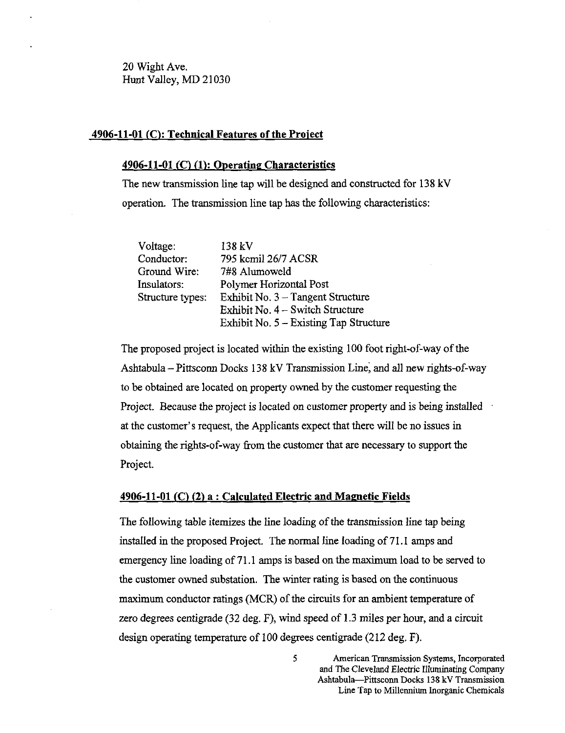20 Wight Ave. Hunt Valley, MD 21030

#### 4906-11-01 (C): Technical Features of the Project

#### 4906-11-01 (C) (1): Operating Characteristics

The new fransmission line tap will be designed and constructed for 138 kV operation. The fransmission line tap has the following characteristics:

| Voltage:         | 138 kV                                 |  |  |
|------------------|----------------------------------------|--|--|
| Conductor:       | 795 kcmil 26/7 ACSR                    |  |  |
| Ground Wire:     | 7#8 Alumoweld                          |  |  |
| Insulators:      | Polymer Horizontal Post                |  |  |
| Structure types: | Exhibit No. $3 - Tangent$ Structure    |  |  |
|                  | Exhibit No. 4 – Switch Structure       |  |  |
|                  | Exhibit No. 5 - Existing Tap Structure |  |  |

The proposed project is located within the existing 100 foot right-of-way of the Ashtabula - Pittsconn Docks 138 kV Transmission Line, and all new rights-of-way to be obtained are located on property ovraed by the customer requesting the Project. Because the project is located on customer property and is being installed at the customer's request, the Applicants expect that there will be no issues in obtaining the rights-of-way from the customer that are necessary to support the Project.

#### 4906-11-01 (C) (2) a : Calculated Electric and Magnetic Fields

The following table itemizes the line loading of the fransmission line tap being installed in the proposed Project. The normal line loading of 71.1 amps and emergency line loading of 71.1 amps is based on the maximum load to be served to the customer owned substation. The winter rating is based on the continuous maximum conductor ratings (MCR) of the circuits for an ambient temperature of zero degrees centigrade (32 deg. F), wind speed of 1.3 miles per hour, and a circuit design operating temperature of 100 degrees centigrade (212 deg. F).

5 American Transmission Systems, Incorporated and The Cleveland Electric Illuminating Company Ashtabula-Pittsconn Docks 138 kV Transmission Line Tap to Millennium Inorganic Chemicals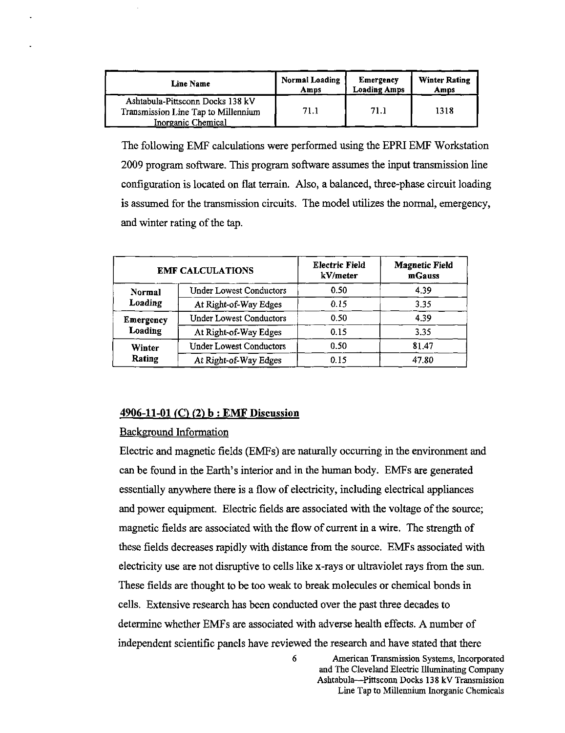| <b>Line Name</b>                                                                              | <b>Normal Loading</b> | Emergency           | <b>Winter Rating</b> |
|-----------------------------------------------------------------------------------------------|-----------------------|---------------------|----------------------|
|                                                                                               | Amps                  | <b>Loading Amps</b> | Amps                 |
| Ashtabula-Pittsconn Docks 138 kV<br>Transmission Line Tap to Millennium<br>Inorganic Chemical | 71.1                  | 71.1                | 1318                 |

The following EMF calculations were performed using the EPRIEMF Workstation 2009 program software. This program software assumes the input fransmission line configuration is located on flat terrain. Also, a balanced, three-phase circuit loading is assumed for the fransmission circuits. The model utilizes the normal, emergency, and winter rating of the tap.

| <b>EMF CALCULATIONS</b> |                                | <b>Electric Field</b><br>kV/meter | <b>Magnetic Field</b><br>mGauss |
|-------------------------|--------------------------------|-----------------------------------|---------------------------------|
| Normal                  | <b>Under Lowest Conductors</b> | 0.50                              | 4.39                            |
| Loading                 | At Right-of-Way Edges          | 0.15                              | 3.35                            |
| Emergency<br>Loading    | <b>Under Lowest Conductors</b> | 0.50                              | 4.39                            |
|                         | At Right-of-Way Edges          | 0.15                              | 3.35                            |
| Winter<br>Rating        | <b>Under Lowest Conductors</b> | 0.50                              | 81.47                           |
|                         | At Right-of-Way Edges          | 0.15                              | 47.80                           |

#### 4906-11-01 (C) (2) b : EMF Discussion

#### Background Information

Electric and magnetic fields (EMFs) are naturally occurring in the environment and can be found in the Earth's interior and in the human body. EMFs are generated essentially anywhere there is a flow of electricity, including electrical appliances and power equipment. Electric fields are associated with the voltage of the source; magnetic fields are associated with the flow of current in a wire. The strength of these fields decreases rapidly with distance from the source. EMFs associated with electricity use are not disruptive to cells like x-rays or ulfraviolet rays from the sun. These fields are thought to be too weak to break molecules or chemical bonds in cells. Extensive research has been conducted over the past three decades to determine whether EMFs are associated with adverse health effects. A number of independent scientific panels have reviewed the research and have stated that there

6 American Transmission Systems, Incorporated

and The Cleveland Electric Illuminating Company Ashtabula—Pittsconn Docks 138 kV Transmission Line Tap to Millennium Inorganic Chemicals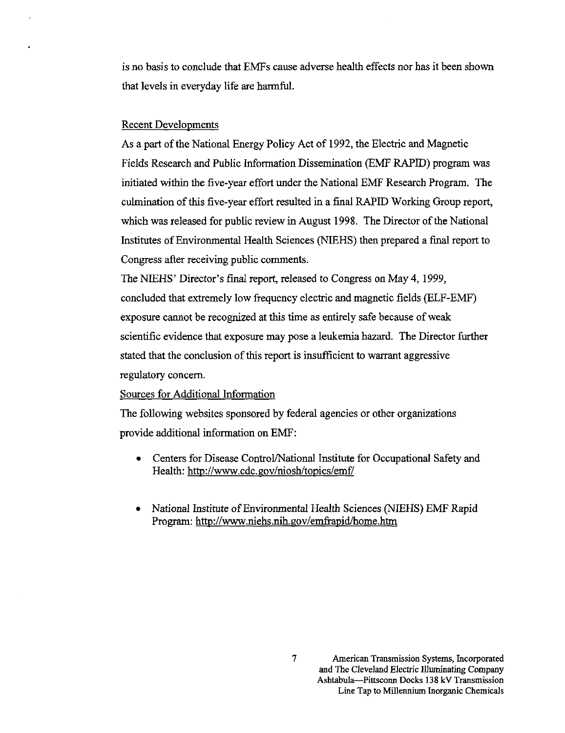is no basis to conclude that EMFs cause adverse health effects nor has it been shown that levels in everyday life are harmful.

#### Recent Developments

As a part of the National Energy Policy Act of 1992, the Electric and Magnetic Fields Research and Public Information Dissemination (EMF RAPID) program was initiated within the five-year effort under the National EMF Research Program. The culmination of this five-year effort resulted in a final RAPID Working Group report, which was released for public review in August 1998. The Director of the National Institutes of Environmental Health Sciences (NIEHS) then prepared a final report to Congress after receiving public comments.

The NIEHS' Director's final report, released to Congress on May 4, 1999, concluded that exfremely low frequency electric and magnetic fields (ELF-EMF) exposure cannot be recognized at this time as entirely safe because of weak scientific evidence that exposure may pose a leukemia hazard. The Director further stated that the conclusion of this report is insufficient to warrant aggressive regulatory concern.

#### Sources for Additional Information

The following websites sponsored by federal agencies or other organizations provide additional information on EMF:

- Centers for Disease Control/National Institute for Occupational Safety and Health: <http://www.cdc.gov/niosh/topics/emf/>
- National Institute of Environmental Health Sciences (NIEHS) EMF Rapid Program: <http://www.niehs.nih.gov/emfrapid/home.htm>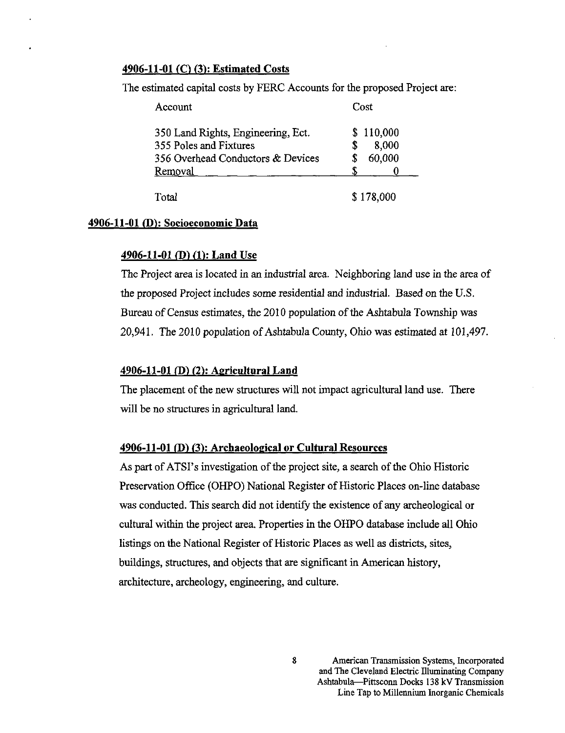#### 4906-11-01 (C) (3): Estimated Costs

The estimated capital costs by FERC Accounts for the proposed Project are:

| Account                            | Cost      |  |
|------------------------------------|-----------|--|
| 350 Land Rights, Engineering, Ect. | \$110,000 |  |
| 355 Poles and Fixtures             | 8,000     |  |
| 356 Overhead Conductors & Devices  | 60,000    |  |
| Removal                            |           |  |
|                                    |           |  |
| Total                              | \$178,000 |  |

#### 4906-11-01 (D): Socioeconomic Data

#### 4906-11-01 (D) (1): Land Use

The Project area is located in an indusfrial area. Neighboring land use in the area of the proposed Project includes some residential and indusfrial. Based on the U.S. Bureau of Census estimates, the 2010 population of the Ashtabula Township was 20,941. The 2010 population of Ashtabula County, Ohio was estimated at 101,497.

#### 4906-11-01 (D) (2): Agricultural Land

The placement of the new structures will not impact agricultural land use. There will be no structures in agricultural land.

#### 4906-11-01 (D) (3): Archaeological or Cultural Resources

As part of ATSI's investigation of the project site, a search of the Ohio Historic Preservation Office (OHPO) National Register of Historic Places on-line database was conducted. This search did not identify the existence of any archeological or cultural within the project area. Properties in the OHPO database include all Ohio listings on the National Register of Historic Places as well as districts, sites, buildings, structures, and objects that are significant in American history, architecture, archeology, engineering, and culture.

> American Transmission Systems, Incorporated and The Cleveland Electric Illuminating Company Ashtabula—Pittsconn Docks 138 kV Transmission Line Tap to Millennium Inorganic Chemicals

8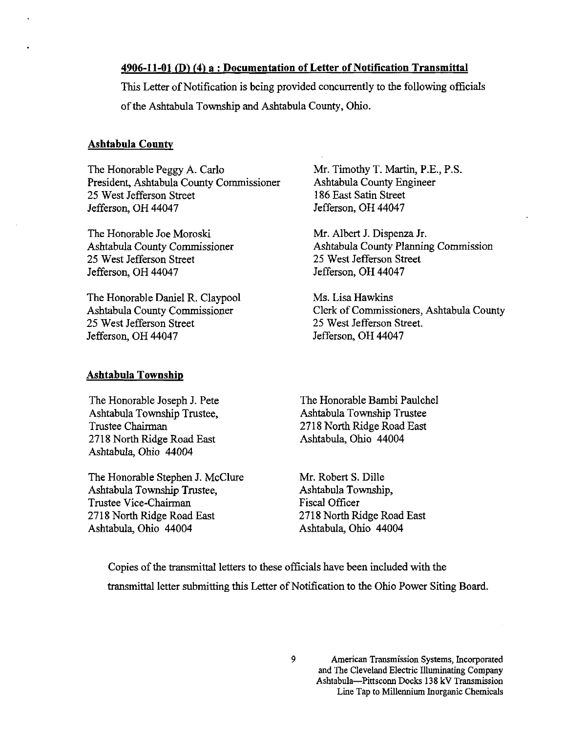#### 4906-11-01 (D) (4) a : Documentation of Letter of Notification Transmittal

This Letter of Notification is being provided concurrently to the following officials of the Ashtabula Township and Ashtabula County, Ohio.

#### Ashtabula County

The Honorable Peggy A. Carlo President, Ashtabula County Commissioner 25 West Jefferson Sfreet Jefferson, OH 44047

The Honorable Joe Moroski Ashtabula County Commissioner 25 West Jefferson Sfreet Jefferson, OH 44047

The Honorable Daniel R. Claypool Ashtabula County Commissioner 25 West Jefferson Sfreet Jefferson, OH 44047

#### Ashtabula Township

The Honorable Joseph J. Pete Ashtabula Township Trustee, Trustee Chairman 2718 North Ridge Road East Ashtabula, Ohio 44004

The Honorable Stephen J. McClure Ashtabula Township Trustee, Trustee Vice-Chairman 2718 North Ridge Road East Ashtabula, Ohio 44004

Mr. Timothy T. Martin, P.E., P.S. Ashtabula County Engineer 186 East Satin Sfreet Jefferson, OH 44047

Mr. Albert J. Dispenza Jr. Ashtabula County Planning Commission 25 West Jefferson Street Jefferson, OH 44047

Ms. Lisa Hawkins Clerk of Commissioners, Ashtabula County 25 West Jefferson Sfreet. Jefferson, OH 44047

The Honorable Bambi Paulchel Ashtabula Township Trustee 2718 North Ridge Road East Ashtabula, Ohio 44004

Mr. Robert S. Dille Ashtabula Township, Fiscal Officer 2718 North Ridge Road East Ashtabula, Ohio 44004

Copies of the fransmittal letters to these officials have been included with the fransmittal letter submitthig this Letter of Notification to the Ohio Power Siting Board.

American Transmission Systems, Incorporated and The Cleveland Electric Illuminating Company Ashtabula—^Pittsconn Docks 138 kV Transmission Line Tap to Millennium Inorganic Chemicals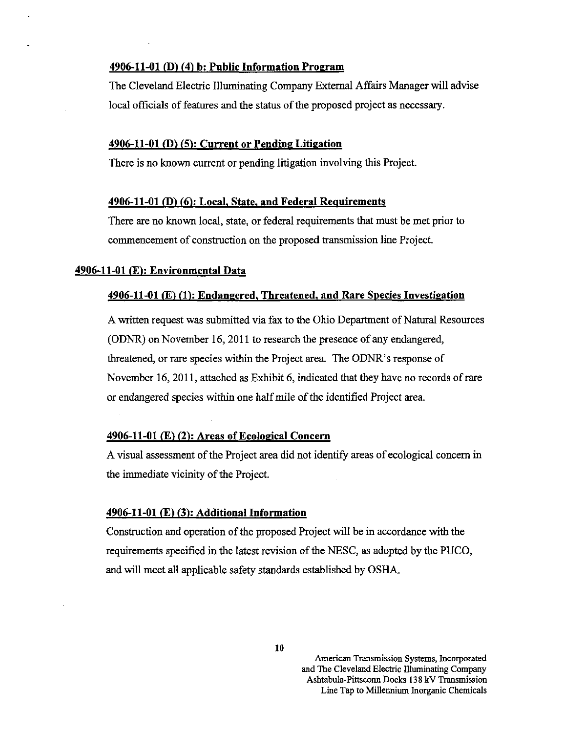#### 4906-11-01 (D) (4) b; Public Information Program

The Cleveland Electric Illuminating Company External Affairs Manager will advise local officials of features and the status of the proposed project as necessary.

#### 4906-11-01 (D) (5): Current or Pending Litigation

There is no known current or pending litigation involving this Project.

#### 4906-11-01 (D) (6): Local, State, and Federal Requirements

There are no known local, state, or federal requirements that must be met prior to commencement of construction on the proposed fransmission line Project.

#### 4906-11-01 (E): Environmental Data

#### 4906-11-01 (E) (1): Endangered, Threatened, and Rare Species Investigation

A written request was submitted via fax to the Ohio Department of Natural Resources (ODNR) on November 16, 2011 to research the presence of any endangered, threatened, or rare species within the Project area. The ODNR's response of November 16,2011, attached as Exhibit 6, indicated that they have no records of rare or endangered species within one half mile of the identified Project area.

#### 4906-11-01 (E) (2); Areas of Ecological Concern

A visual assessment of the Project area did not identify areas of ecological concern in the immediate vicinity of the Project

#### 4906-11-01 (E) (3): Additional Information

Construction and operation of the proposed Project will be in accordance with the requirements specified in the latest revision of the NESC, as adopted by the PUCO, and will meet all applicable safety standards established by OSHA.

American Transmission Systems, Incorporated and The Cleveland Electric Illuminating Company Ashtabula-Pittsconn Docks 138 kV Transmission Line Tap to Millennium Inorganic Chemicals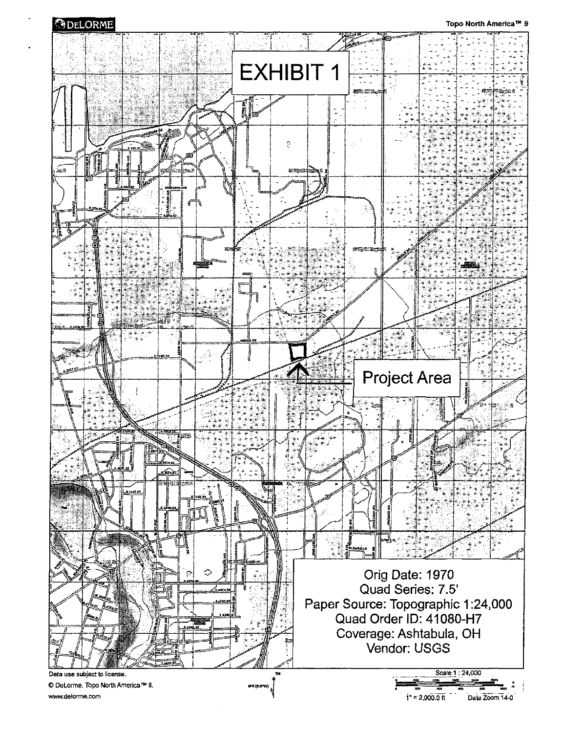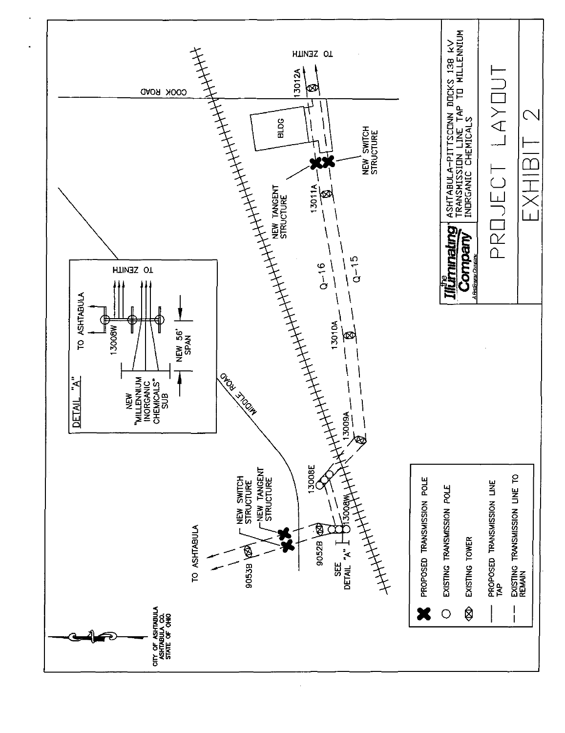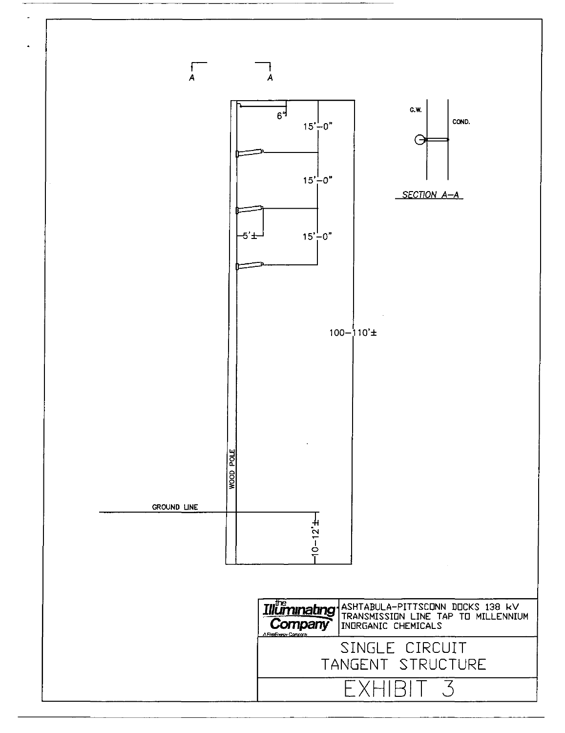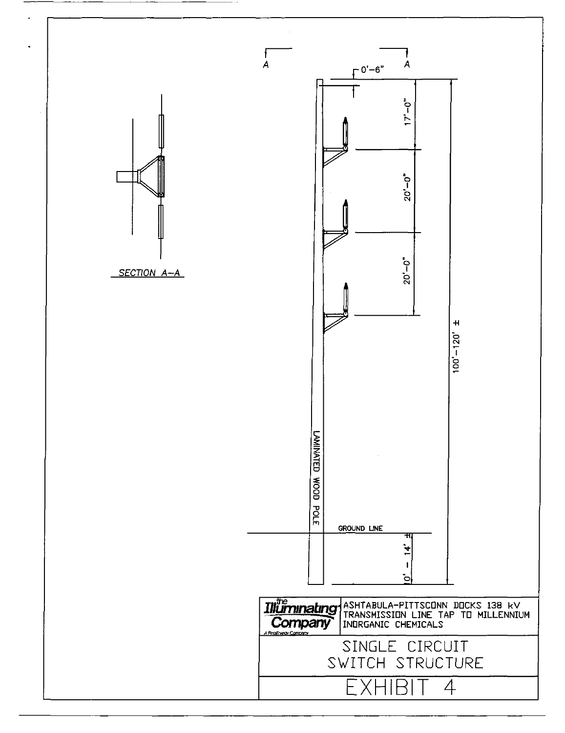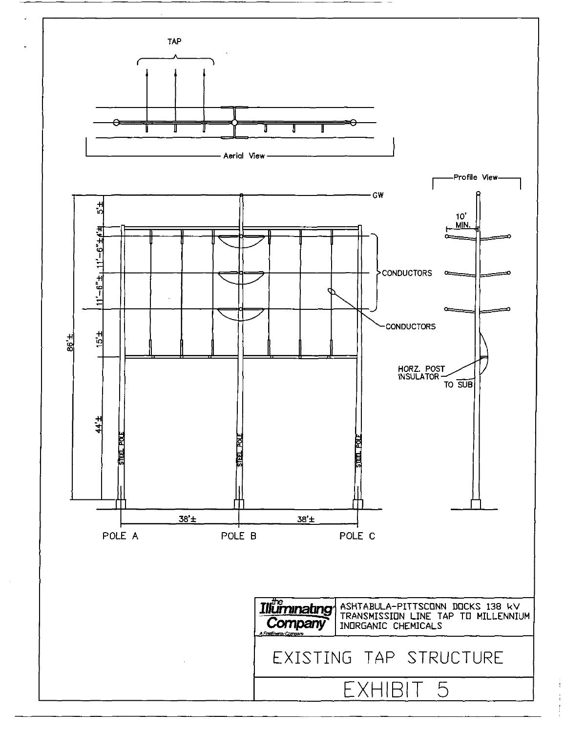